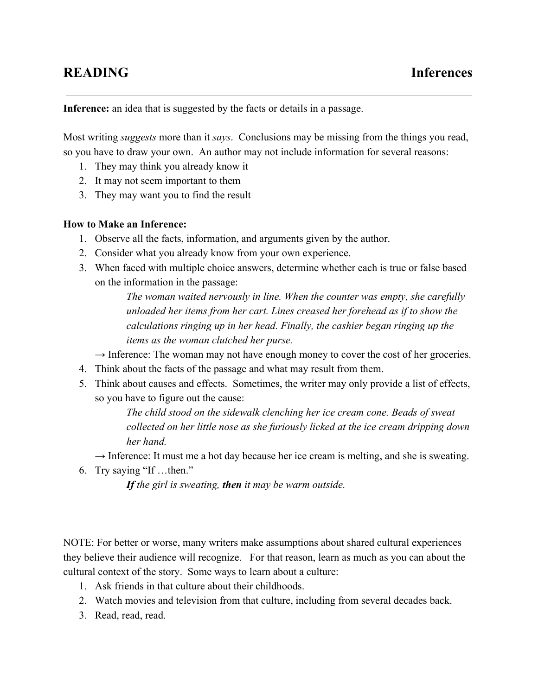**Inference:** an idea that is suggested by the facts or details in a passage.

Most writing *suggests* more than it *says*. Conclusions may be missing from the things you read, so you have to draw your own. An author may not include information for several reasons:

- 1. They may think you already know it
- 2. It may not seem important to them
- 3. They may want you to find the result

## **How to Make an Inference:**

- 1. Observe all the facts, information, and arguments given by the author.
- 2. Consider what you already know from your own experience.
- 3. When faced with multiple choice answers, determine whether each is true or false based on the information in the passage:

*The woman waited nervously in line. When the counter was empty, she carefully unloaded her items from her cart. Lines creased her forehead as if to show the calculations ringing up in her head. Finally, the cashier began ringing up the items as the woman clutched her purse.*

- $\rightarrow$  Inference: The woman may not have enough money to cover the cost of her groceries.
- 4. Think about the facts of the passage and what may result from them.
- 5. Think about causes and effects. Sometimes, the writer may only provide a list of effects, so you have to figure out the cause:

*The child stood on the sidewalk clenching her ice cream cone. Beads of sweat collected on her little nose as she furiously licked at the ice cream dripping down her hand.*

- $\rightarrow$  Inference: It must me a hot day because her ice cream is melting, and she is sweating.
- 6. Try saying "If …then."

*Ifthe girl is sweating, then it may be warm outside.*

NOTE: For better or worse, many writers make assumptions about shared cultural experiences they believe their audience will recognize. For that reason, learn as much as you can about the cultural context of the story. Some ways to learn about a culture:

- 1. Ask friends in that culture about their childhoods.
- 2. Watch movies and television from that culture, including from several decades back.
- 3. Read, read, read.